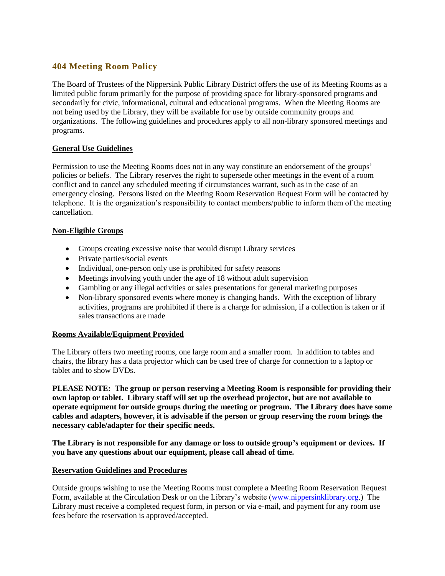# **404 Meeting Room Policy**

The Board of Trustees of the Nippersink Public Library District offers the use of its Meeting Rooms as a limited public forum primarily for the purpose of providing space for library-sponsored programs and secondarily for civic, informational, cultural and educational programs. When the Meeting Rooms are not being used by the Library, they will be available for use by outside community groups and organizations. The following guidelines and procedures apply to all non-library sponsored meetings and programs.

# **General Use Guidelines**

Permission to use the Meeting Rooms does not in any way constitute an endorsement of the groups' policies or beliefs. The Library reserves the right to supersede other meetings in the event of a room conflict and to cancel any scheduled meeting if circumstances warrant, such as in the case of an emergency closing. Persons listed on the Meeting Room Reservation Request Form will be contacted by telephone. It is the organization's responsibility to contact members/public to inform them of the meeting cancellation.

# **Non-Eligible Groups**

- Groups creating excessive noise that would disrupt Library services
- Private parties/social events
- Individual, one-person only use is prohibited for safety reasons
- Meetings involving youth under the age of 18 without adult supervision
- Gambling or any illegal activities or sales presentations for general marketing purposes
- Non-library sponsored events where money is changing hands. With the exception of library activities, programs are prohibited if there is a charge for admission, if a collection is taken or if sales transactions are made

### **Rooms Available/Equipment Provided**

The Library offers two meeting rooms, one large room and a smaller room. In addition to tables and chairs, the library has a data projector which can be used free of charge for connection to a laptop or tablet and to show DVDs.

**PLEASE NOTE: The group or person reserving a Meeting Room is responsible for providing their own laptop or tablet. Library staff will set up the overhead projector, but are not available to operate equipment for outside groups during the meeting or program. The Library does have some cables and adapters, however, it is advisable if the person or group reserving the room brings the necessary cable/adapter for their specific needs.**

**The Library is not responsible for any damage or loss to outside group's equipment or devices. If you have any questions about our equipment, please call ahead of time.** 

### **Reservation Guidelines and Procedures**

Outside groups wishing to use the Meeting Rooms must complete a Meeting Room Reservation Request Form, available at the Circulation Desk or on the Library's website [\(www.nippersinklibrary.org.](http://www.nippersinklibrary.org/)) The Library must receive a completed request form, in person or via e-mail, and payment for any room use fees before the reservation is approved/accepted.